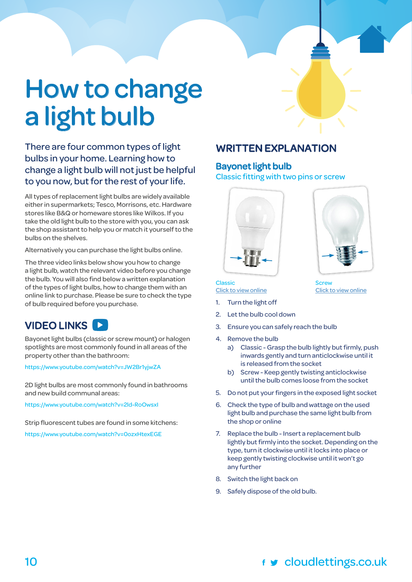# How to change a light bulb

### There are four common types of light bulbs in your home. Learning how to change a light bulb will not just be helpful to you now, but for the rest of your life.

All types of replacement light bulbs are widely available either in supermarkets; Tesco, Morrisons, etc. Hardware stores like B&Q or homeware stores like Wilkos. If you take the old light bulb to the store with you, you can ask the shop assistant to help you or match it yourself to the bulbs on the shelves.

Alternatively you can purchase the light bulbs online.

The three video links below show you how to change a light bulb, watch the relevant video before you change the bulb. You will also find below a written explanation of the types of light bulbs, how to change them with an online link to purchase. Please be sure to check the type of bulb required before you purchase.

### VIDEO LINKS

Bayonet light bulbs (classic or screw mount) or halogen spotlights are most commonly found in all areas of the property other than the bathroom:

<https://www.youtube.com/watch?v=JW2Br1yjwZA>

2D light bulbs are most commonly found in bathrooms and new build communal areas:

<https://www.youtube.com/watch?v=2ld-RoOwsxI>

Strip fluorescent tubes are found in some kitchens:

<https://www.youtube.com/watch?v=0ozxHtexEGE>

### WRITTEN EXPLANATION

### Bayonet light bulb

Classic fitting with two pins or screw





[Click to view online](https://www.amazon.co.uk/Philips-Edison-Halogen-EcoClassic-Traditional/dp/B00N7L5VH6/ref=pd_bxgy_201_img_2?_encoding=UTF8&psc=1&refRID=96HBW88V73BF6RMZ5GK0)

**Classic** [Click to view online](https://www.amazon.co.uk/Philips-Watt-Halogen-EcoClassic-Traditional/dp/B00N7L69D6/ref=sr_1_10?m=A3P5ROKL5A1OLE&s=lighting&ie=UTF8&qid=1477401331&sr=1-10)

- Turn the light off
- 2. Let the bulb cool down
- 3. Ensure you can safely reach the bulb
- 4. Remove the bulb
	- Remove the bulb<br>a) Classic Grasp the bulb lightly but firmly, push inwards gently and turn anticlockwise until it is released from the socket
	- b) Screw Keep gently twisting anticlockwise until the bulb comes loose from the socket
- 5. Do not put your fingers in the exposed light socket
- 6. Check the type of bulb and wattage on the used light bulb and purchase the same light bulb from the shop or online
- 7. Replace the bulb Insert a replacement bulb lightly but firmly into the socket. Depending on the type, turn it clockwise until it locks into place or keep gently twisting clockwise until it won't go any further
- 8. Switch the light back on
- 9. Safely dispose of the old bulb.